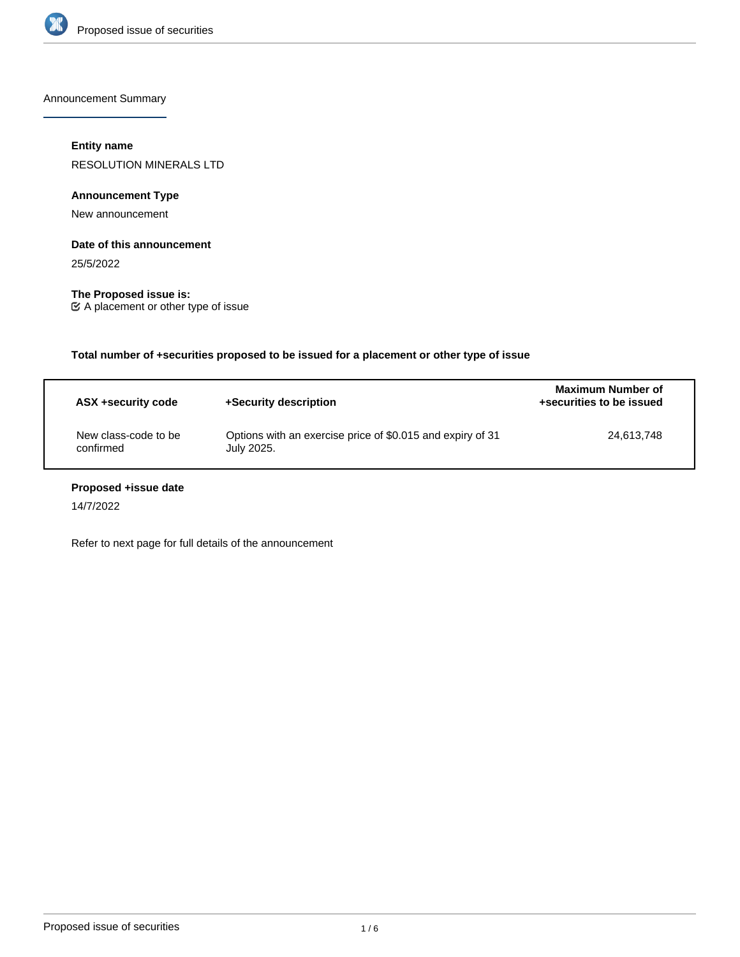

Announcement Summary

# **Entity name**

RESOLUTION MINERALS LTD

# **Announcement Type**

New announcement

# **Date of this announcement**

25/5/2022

**The Proposed issue is:** A placement or other type of issue

| Total number of +securities proposed to be issued for a placement or other type of issue |                                                                          |                                               |  |
|------------------------------------------------------------------------------------------|--------------------------------------------------------------------------|-----------------------------------------------|--|
| ASX +security code                                                                       | +Security description                                                    | Maximum Number of<br>+securities to be issued |  |
| New class-code to be<br>confirmed                                                        | Options with an exercise price of \$0.015 and expiry of 31<br>July 2025. | 24,613,748                                    |  |

# **Proposed +issue date**

14/7/2022

Refer to next page for full details of the announcement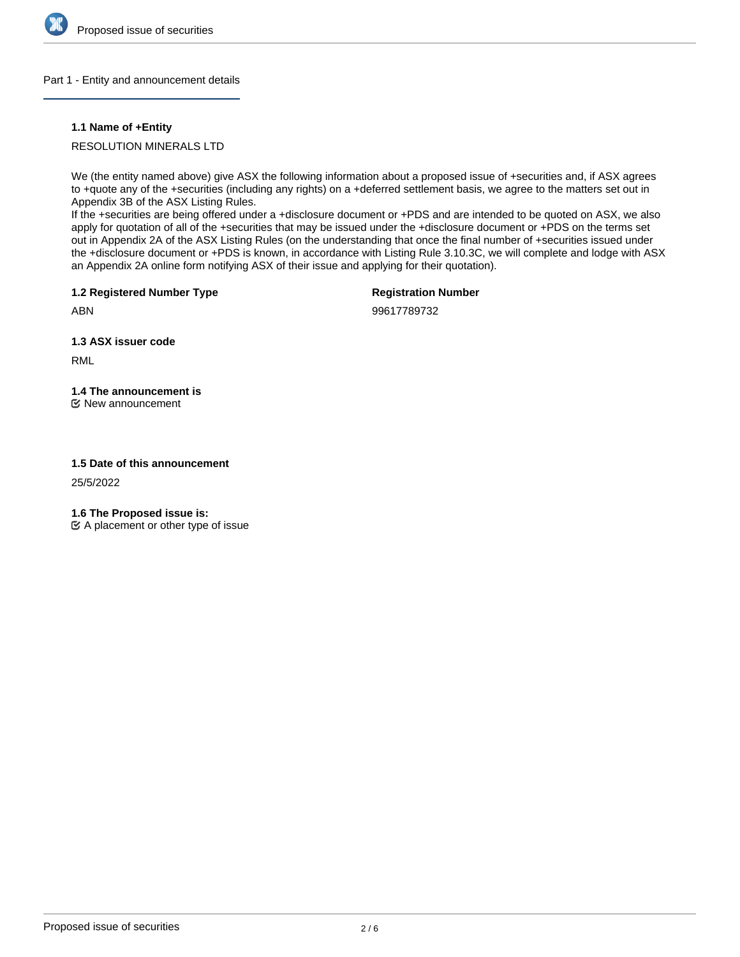

# Part 1 - Entity and announcement details

# **1.1 Name of +Entity**

RESOLUTION MINERALS LTD

We (the entity named above) give ASX the following information about a proposed issue of +securities and, if ASX agrees to +quote any of the +securities (including any rights) on a +deferred settlement basis, we agree to the matters set out in Appendix 3B of the ASX Listing Rules.

If the +securities are being offered under a +disclosure document or +PDS and are intended to be quoted on ASX, we also apply for quotation of all of the +securities that may be issued under the +disclosure document or +PDS on the terms set out in Appendix 2A of the ASX Listing Rules (on the understanding that once the final number of +securities issued under the +disclosure document or +PDS is known, in accordance with Listing Rule 3.10.3C, we will complete and lodge with ASX an Appendix 2A online form notifying ASX of their issue and applying for their quotation).

**1.2 Registered Number Type**

**Registration Number**

ABN

99617789732

**1.3 ASX issuer code**

RML

**1.4 The announcement is** New announcement

# **1.5 Date of this announcement**

25/5/2022

**1.6 The Proposed issue is:**

 $\mathfrak{C}$  A placement or other type of issue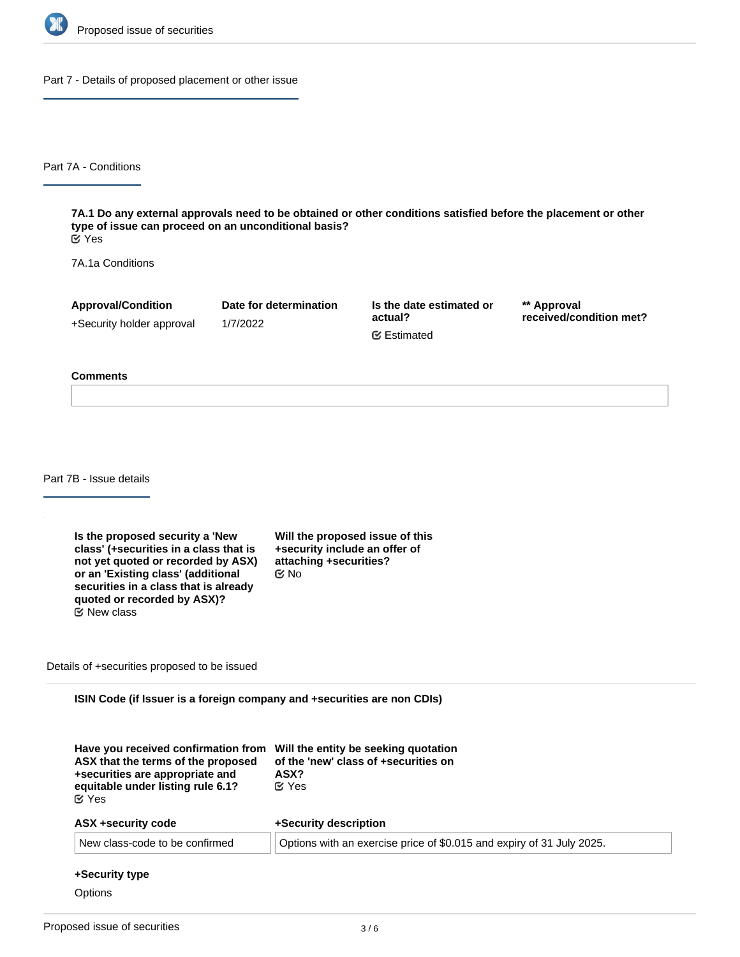

Part 7 - Details of proposed placement or other issue

Part 7A - Conditions

**7A.1 Do any external approvals need to be obtained or other conditions satisfied before the placement or other type of issue can proceed on an unconditional basis?** Yes

7A.1a Conditions

**Approval/Condition** +Security holder approval **Date for determination** 1/7/2022

**Is the date estimated or actual?** Estimated

**\*\* Approval received/condition met?**

#### **Comments**

Part 7B - Issue details

**Is the proposed security a 'New class' (+securities in a class that is not yet quoted or recorded by ASX) or an 'Existing class' (additional securities in a class that is already quoted or recorded by ASX)?** New class

**Will the proposed issue of this +security include an offer of attaching +securities?** No

Details of +securities proposed to be issued

**ISIN Code (if Issuer is a foreign company and +securities are non CDIs)**

| Have you received confirmation from Will the entity be seeking quotation<br>ASX that the terms of the proposed<br>+securities are appropriate and<br>equitable under listing rule 6.1?<br>$\alpha$ Yes | of the 'new' class of +securities on<br>ASX?<br>$\alpha$ Yes          |  |
|--------------------------------------------------------------------------------------------------------------------------------------------------------------------------------------------------------|-----------------------------------------------------------------------|--|
| ASX +security code                                                                                                                                                                                     | +Security description                                                 |  |
| New class-code to be confirmed                                                                                                                                                                         | Options with an exercise price of \$0.015 and expiry of 31 July 2025. |  |

#### **+Security type**

**Options**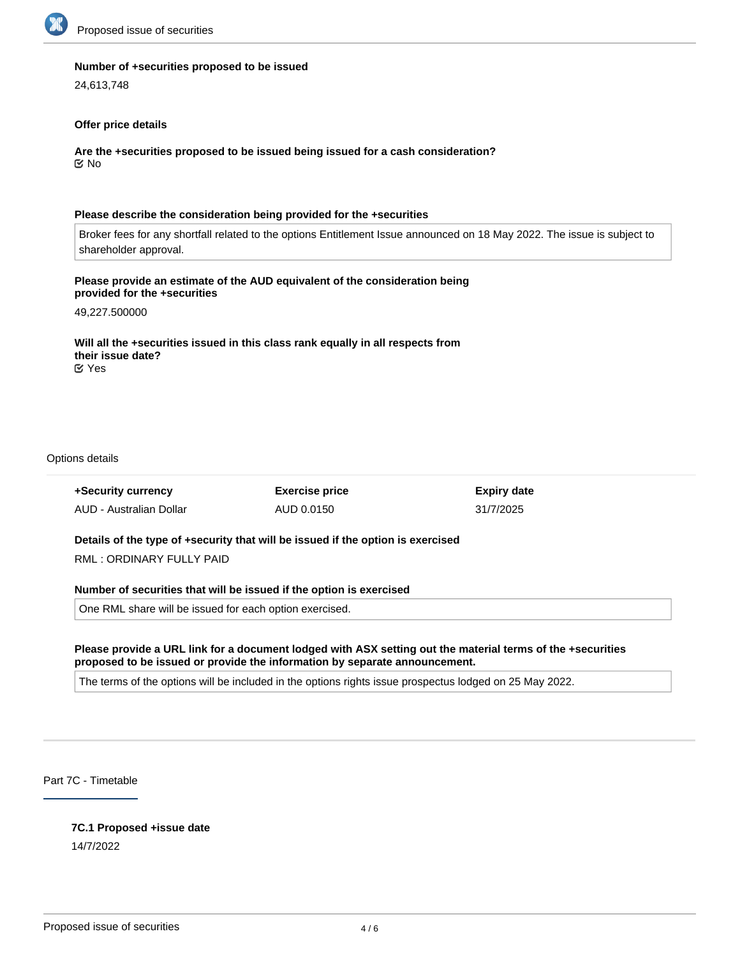

#### **Number of +securities proposed to be issued**

24,613,748

#### **Offer price details**

**Are the +securities proposed to be issued being issued for a cash consideration?** No

#### **Please describe the consideration being provided for the +securities**

Broker fees for any shortfall related to the options Entitlement Issue announced on 18 May 2022. The issue is subject to shareholder approval.

# **Please provide an estimate of the AUD equivalent of the consideration being provided for the +securities**

49,227.500000

**Will all the +securities issued in this class rank equally in all respects from their issue date?** Yes

#### Options details

| +Security currency                                                              | <b>Exercise price</b> | <b>Expiry date</b> |  |  |
|---------------------------------------------------------------------------------|-----------------------|--------------------|--|--|
| AUD - Australian Dollar                                                         | AUD 0.0150            | 31/7/2025          |  |  |
| Details of the type of +security that will be issued if the option is exercised |                       |                    |  |  |

RML : ORDINARY FULLY PAID

**Number of securities that will be issued if the option is exercised**

One RML share will be issued for each option exercised.

# **Please provide a URL link for a document lodged with ASX setting out the material terms of the +securities proposed to be issued or provide the information by separate announcement.**

The terms of the options will be included in the options rights issue prospectus lodged on 25 May 2022.

Part 7C - Timetable

# **7C.1 Proposed +issue date**

14/7/2022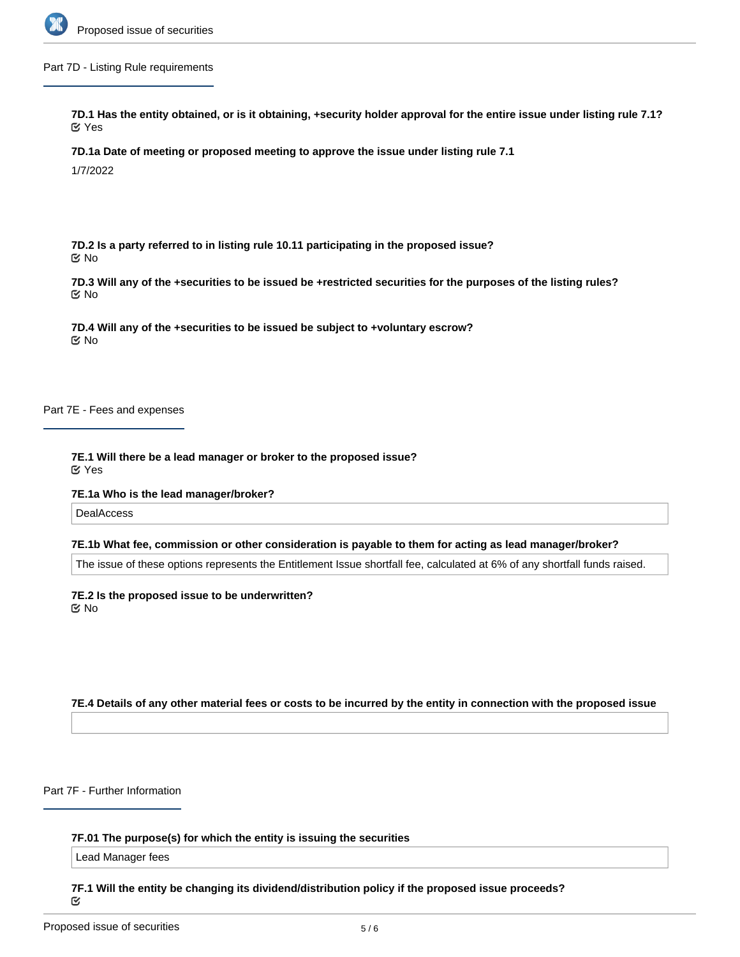

Part 7D - Listing Rule requirements

**7D.1 Has the entity obtained, or is it obtaining, +security holder approval for the entire issue under listing rule 7.1?** Yes

**7D.1a Date of meeting or proposed meeting to approve the issue under listing rule 7.1**

1/7/2022

**7D.2 Is a party referred to in listing rule 10.11 participating in the proposed issue?** No

**7D.3 Will any of the +securities to be issued be +restricted securities for the purposes of the listing rules?** No

**7D.4 Will any of the +securities to be issued be subject to +voluntary escrow?** No

Part 7E - Fees and expenses

**7E.1 Will there be a lead manager or broker to the proposed issue?** Yes

**7E.1a Who is the lead manager/broker?**

**DealAccess** 

#### **7E.1b What fee, commission or other consideration is payable to them for acting as lead manager/broker?**

The issue of these options represents the Entitlement Issue shortfall fee, calculated at 6% of any shortfall funds raised.

**7E.2 Is the proposed issue to be underwritten? K** No

**7E.4 Details of any other material fees or costs to be incurred by the entity in connection with the proposed issue**

Part 7F - Further Information

**7F.01 The purpose(s) for which the entity is issuing the securities**

Lead Manager fees

**7F.1 Will the entity be changing its dividend/distribution policy if the proposed issue proceeds?** Q